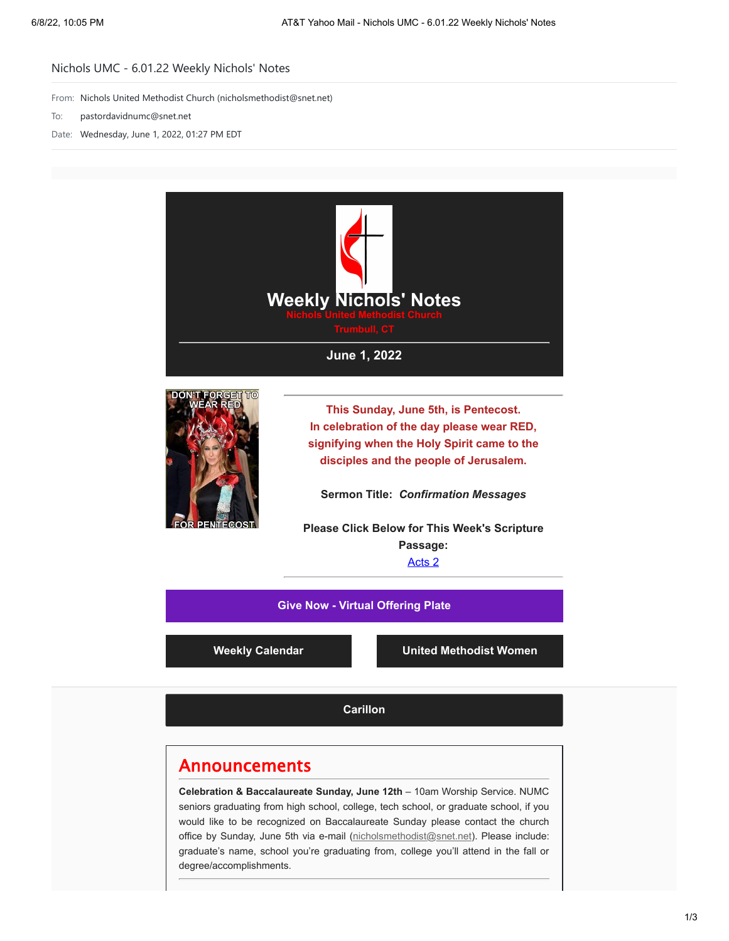## Nichols UMC - 6.01.22 Weekly Nichols' Notes

From: Nichols United Methodist Church (nicholsmethodist@snet.net)

- To: pastordavidnumc@snet.net
- Date: Wednesday, June 1, 2022, 01:27 PM EDT





**This Sunday, June 5th, is Pentecost. In celebration of the day please wear RED, signifying when the Holy Spirit came to the disciples and the people of Jerusalem.**

**Sermon Title:** *Confirmation Messages*

**Please Click Below for This Week's Scripture Passage:** [Acts 2](https://nicholsumc.us4.list-manage.com/track/click?u=d09532b52f4e74b81f543ac42&id=593fddc59a&e=9e577d7e6a)

**[Give Now - Virtual Offering Plate](https://nicholsumc.us4.list-manage.com/track/click?u=d09532b52f4e74b81f543ac42&id=7f10114427&e=9e577d7e6a)**

**[Weekly Calendar](https://nicholsumc.us4.list-manage.com/track/click?u=d09532b52f4e74b81f543ac42&id=85c11a03c1&e=9e577d7e6a) [United Methodist Women](https://nicholsumc.us4.list-manage.com/track/click?u=d09532b52f4e74b81f543ac42&id=dfd91cd3f8&e=9e577d7e6a)**

**[Carillon](https://nicholsumc.us4.list-manage.com/track/click?u=d09532b52f4e74b81f543ac42&id=8edfbc54af&e=9e577d7e6a)**

## Announcements

**Celebration & Baccalaureate Sunday, June 12th** – 10am Worship Service. NUMC seniors graduating from high school, college, tech school, or graduate school, if you would like to be recognized on Baccalaureate Sunday please contact the church office by Sunday, June 5th via e-mail ([nicholsmethodist@snet.net](mailto:nicholsmethodist@snet.net)). Please include: graduate's name, school you're graduating from, college you'll attend in the fall or degree/accomplishments.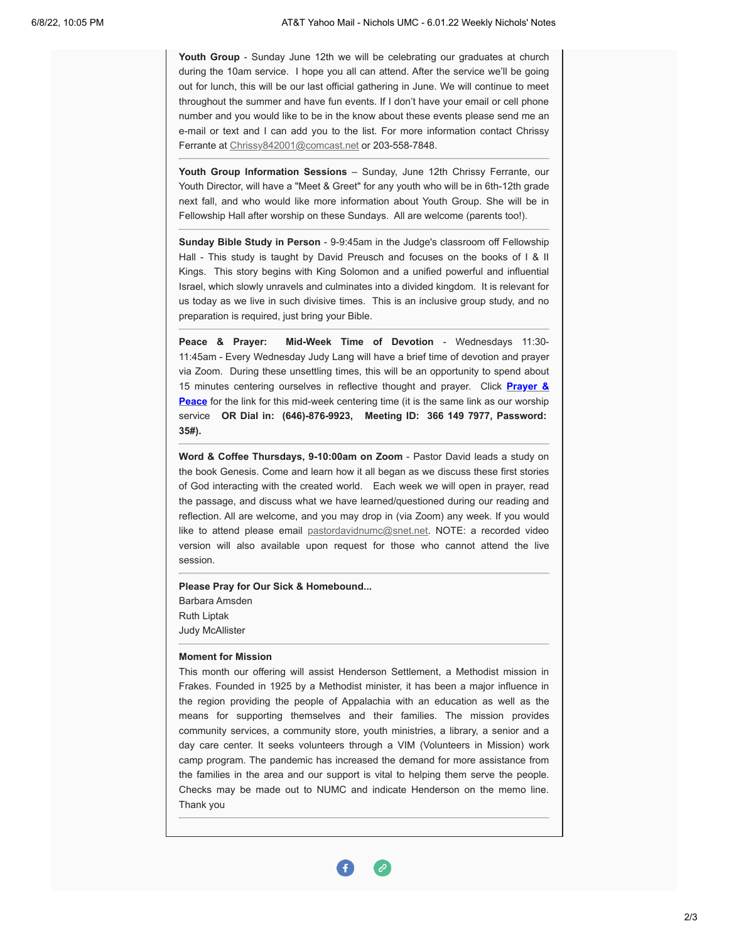**Youth Group** - Sunday June 12th we will be celebrating our graduates at church during the 10am service. I hope you all can attend. After the service we'll be going out for lunch, this will be our last official gathering in June. We will continue to meet throughout the summer and have fun events. If I don't have your email or cell phone number and you would like to be in the know about these events please send me an e-mail or text and I can add you to the list. For more information contact Chrissy Ferrante at [Chrissy842001@comcast.net](mailto:Chrissy842001@comcast.net) or 203-558-7848.

**Youth Group Information Sessions** – Sunday, June 12th Chrissy Ferrante, our Youth Director, will have a "Meet & Greet" for any youth who will be in 6th-12th grade next fall, and who would like more information about Youth Group. She will be in Fellowship Hall after worship on these Sundays. All are welcome (parents too!).

**Sunday Bible Study in Person** - 9-9:45am in the Judge's classroom off Fellowship Hall - This study is taught by David Preusch and focuses on the books of I & II Kings. This story begins with King Solomon and a unified powerful and influential Israel, which slowly unravels and culminates into a divided kingdom. It is relevant for us today as we live in such divisive times. This is an inclusive group study, and no preparation is required, just bring your Bible.

**Peace & Prayer: Mid-Week Time of Devotion** - Wednesdays 11:30- 11:45am - Every Wednesday Judy Lang will have a brief time of devotion and prayer via Zoom. During these unsettling times, this will be an opportunity to spend about 15 minutes centering ourselves in reflective thought and prayer. Click **Prayer & Peace** [for the link for this mid-week centering time \(it is the same link as our worship](https://nicholsumc.us4.list-manage.com/track/click?u=d09532b52f4e74b81f543ac42&id=df5bd19d35&e=9e577d7e6a) service **OR Dial in: (646)-876-9923, Meeting ID: 366 149 7977, Password: 35#).**

**Word & Coffee Thursdays, 9-10:00am on Zoom** - Pastor David leads a study on the book Genesis. Come and learn how it all began as we discuss these first stories of God interacting with the created world. Each week we will open in prayer, read the passage, and discuss what we have learned/questioned during our reading and reflection. All are welcome, and you may drop in (via Zoom) any week. If you would like to attend please email [pastordavidnumc@snet.net.](mailto:pastordavidnumc@snet.net) NOTE: a recorded video version will also available upon request for those who cannot attend the live session.

**Please Pray for Our Sick & Homebound...** Barbara Amsden Ruth Liptak Judy McAllister

## **Moment for Mission**

This month our offering will assist Henderson Settlement, a Methodist mission in Frakes. Founded in 1925 by a Methodist minister, it has been a major influence in the region providing the people of Appalachia with an education as well as the means for supporting themselves and their families. The mission provides community services, a community store, youth ministries, a library, a senior and a day care center. It seeks volunteers through a VIM (Volunteers in Mission) work camp program. The pandemic has increased the demand for more assistance from the families in the area and our support is vital to helping them serve the people. Checks may be made out to NUMC and indicate Henderson on the memo line. Thank you